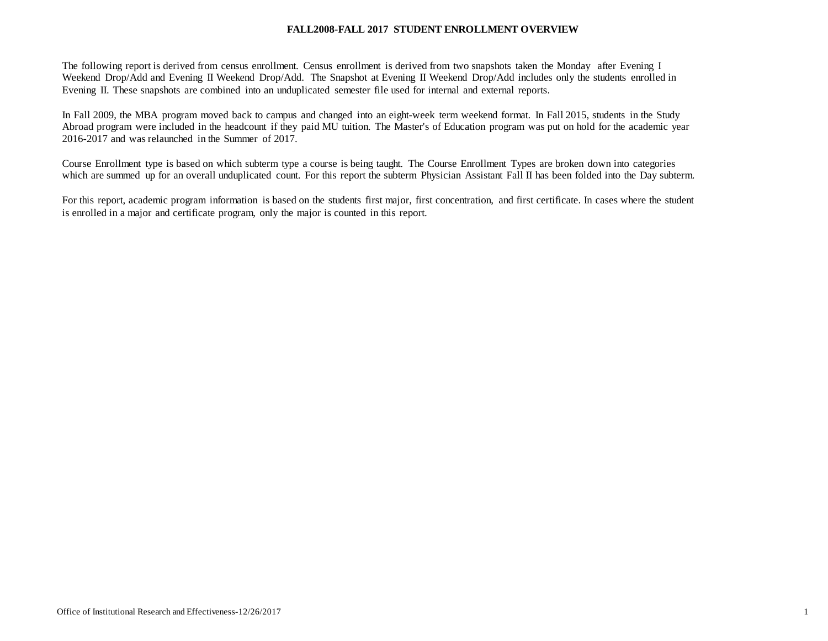#### **FALL2008-FALL 2017 STUDENT ENROLLMENT OVERVIEW**

The following report is derived from census enrollment. Census enrollment is derived from two snapshots taken the Monday after Evening I Weekend Drop/Add and Evening II Weekend Drop/Add. The Snapshot at Evening II Weekend Drop/Add includes only the students enrolled in Evening II. These snapshots are combined into an unduplicated semester file used for internal and external reports.

In Fall 2009, the MBA program moved back to campus and changed into an eight-week term weekend format. In Fall 2015, students in the Study Abroad program were included in the headcount if they paid MU tuition. The Master's of Education program was put on hold for the academic year 2016-2017 and was relaunched in the Summer of 2017.

Course Enrollment type is based on which subterm type a course is being taught. The Course Enrollment Types are broken down into categories which are summed up for an overall unduplicated count. For this report the subterm Physician Assistant Fall II has been folded into the Day subterm.

For this report, academic program information is based on the students first major, first concentration, and first certificate. In cases where the student is enrolled in a major and certificate program, only the major is counted in this report.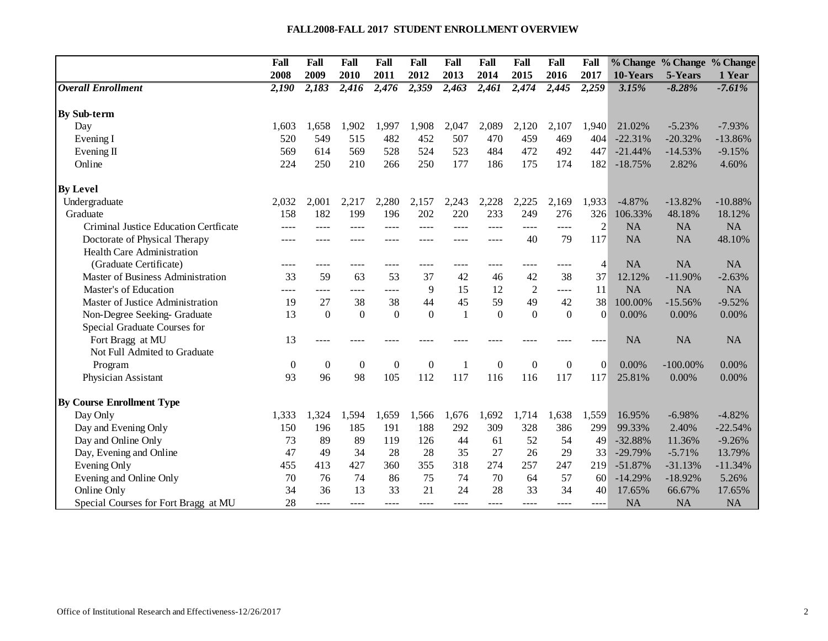#### **FALL2008-FALL 2017 STUDENT ENROLLMENT OVERVIEW**

|                                       | Fall             | Fall         | Fall             | Fall             | Fall             | Fall           | Fall      | Fall           | Fall         | Fall           |           |             | % Change % Change % Change |
|---------------------------------------|------------------|--------------|------------------|------------------|------------------|----------------|-----------|----------------|--------------|----------------|-----------|-------------|----------------------------|
|                                       | 2008             | 2009         | 2010             | 2011             | 2012             | 2013           | 2014      | 2015           | 2016         | 2017           | 10-Years  | 5-Years     | 1 Year                     |
| <b>Overall Enrollment</b>             | 2,190            | 2,183        | 2,416            | 2,476            | 2,359            | 2,463          | 2,461     | 2,474          | 2,445        | 2,259          | 3.15%     | $-8.28%$    | $-7.61%$                   |
| <b>By Sub-term</b>                    |                  |              |                  |                  |                  |                |           |                |              |                |           |             |                            |
| Day                                   | 1,603            | 1,658        | 1,902            | 1,997            | 1,908            | 2,047          | 2,089     | 2,120          | 2,107        | 1.940          | 21.02%    | $-5.23%$    | $-7.93%$                   |
|                                       | 520              | 549          | 515              | 482              | 452              | 507            | 470       | 459            | 469          | 404            | $-22.31%$ | $-20.32%$   | $-13.86%$                  |
| Evening I                             |                  |              |                  | 528              |                  |                |           |                |              |                | $-21.44%$ |             |                            |
| Evening II                            | 569              | 614          | 569              |                  | 524              | 523            | 484       | 472            | 492          | 447            |           | $-14.53%$   | $-9.15%$                   |
| Online                                | 224              | 250          | 210              | 266              | 250              | 177            | 186       | 175            | 174          | 182            | $-18.75%$ | 2.82%       | 4.60%                      |
| <b>By Level</b>                       |                  |              |                  |                  |                  |                |           |                |              |                |           |             |                            |
| Undergraduate                         | 2,032            | 2,001        | 2,217            | 2,280            | 2,157            | 2,243          | 2,228     | 2,225          | 2,169        | 1,933          | $-4.87%$  | $-13.82%$   | $-10.88%$                  |
| Graduate                              | 158              | 182          | 199              | 196              | 202              | 220            | 233       | 249            | 276          | 326            | 106.33%   | 48.18%      | 18.12%                     |
| Criminal Justice Education Certficate |                  |              | ----             | ----             |                  |                |           | $- - - -$      | $- - - -$    | $\overline{2}$ | <b>NA</b> | <b>NA</b>   | <b>NA</b>                  |
| Doctorate of Physical Therapy         |                  |              | ----             | ----             |                  |                |           | 40             | 79           | 117            | <b>NA</b> | NA          | 48.10%                     |
| <b>Health Care Administration</b>     |                  |              |                  |                  |                  |                |           |                |              |                |           |             |                            |
| (Graduate Certificate)                |                  | $- - - -$    | ----             | ----             | ----             | ----           |           | ----           | ----         | $\overline{4}$ | <b>NA</b> | <b>NA</b>   | NA                         |
| Master of Business Administration     | 33               | 59           | 63               | 53               | 37               | 42             | 46        | 42             | 38           | 37             | 12.12%    | $-11.90%$   | $-2.63%$                   |
| Master's of Education                 | ----             | $- - - -$    | ----             | ----             | 9                | 15             | 12        | $\overline{2}$ | ----         | 11             | <b>NA</b> | NA          | NA                         |
| Master of Justice Administration      | 19               | 27           | 38               | 38               | 44               | 45             | 59        | 49             | 42           | 38             | 100.00%   | $-15.56%$   | $-9.52%$                   |
| Non-Degree Seeking- Graduate          | 13               | $\Omega$     | $\Omega$         | $\boldsymbol{0}$ | $\theta$         | $\overline{1}$ | $\Omega$  | $\Omega$       | $\theta$     | $\Omega$       | 0.00%     | 0.00%       | 0.00%                      |
| Special Graduate Courses for          |                  |              |                  |                  |                  |                |           |                |              |                |           |             |                            |
| Fort Bragg at MU                      | 13               |              |                  |                  |                  |                |           |                |              |                | <b>NA</b> | <b>NA</b>   | <b>NA</b>                  |
| Not Full Admited to Graduate          |                  |              |                  |                  |                  |                |           |                |              |                |           |             |                            |
| Program                               | $\boldsymbol{0}$ | $\mathbf{0}$ | $\boldsymbol{0}$ | $\boldsymbol{0}$ | $\boldsymbol{0}$ | -1             | $\theta$  | $\mathbf{0}$   | $\mathbf{0}$ | $\Omega$       | 0.00%     | $-100.00\%$ | 0.00%                      |
| Physician Assistant                   | 93               | 96           | 98               | 105              | 112              | 117            | 116       | 116            | 117          | 117            | 25.81%    | $0.00\%$    | 0.00%                      |
| <b>By Course Enrollment Type</b>      |                  |              |                  |                  |                  |                |           |                |              |                |           |             |                            |
| Day Only                              | 1,333            | 1,324        | 1,594            | 1,659            | 1,566            | 1,676          | 1,692     | 1,714          | 1,638        | 1,559          | 16.95%    | $-6.98%$    | $-4.82%$                   |
| Day and Evening Only                  | 150              | 196          | 185              | 191              | 188              | 292            | 309       | 328            | 386          | 299            | 99.33%    | 2.40%       | $-22.54%$                  |
| Day and Online Only                   | 73               | 89           | 89               | 119              | 126              | 44             | 61        | 52             | 54           | 49             | $-32.88%$ | 11.36%      | $-9.26%$                   |
| Day, Evening and Online               | 47               | 49           | 34               | 28               | 28               | 35             | 27        | 26             | 29           | 33             | $-29.79%$ | $-5.71%$    | 13.79%                     |
| Evening Only                          | 455              | 413          | 427              | 360              | 355              | 318            | 274       | 257            | 247          | 219            | $-51.87%$ | $-31.13%$   | $-11.34%$                  |
| Evening and Online Only               | 70               | 76           | 74               | 86               | 75               | 74             | 70        | 64             | 57           | 60             | $-14.29%$ | $-18.92%$   | 5.26%                      |
| Online Only                           | 34               | 36           | 13               | 33               | 21               | 24             | 28        | 33             | 34           | 40             | 17.65%    | 66.67%      | 17.65%                     |
| Special Courses for Fort Bragg at MU  | 28               | $- - - -$    | ----             | $- - - -$        | ----             | $- - - -$      | $- - - -$ | $- - - -$      | ----         | $- - - -$      | <b>NA</b> | NA          | <b>NA</b>                  |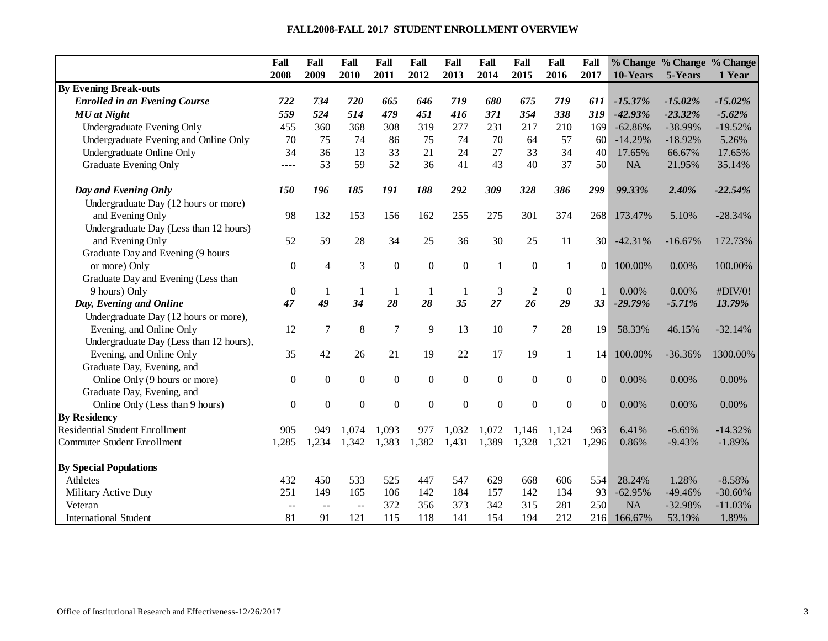#### **FALL2008-FALL 2017 STUDENT ENROLLMENT OVERVIEW**

|                                         | Fall             | Fall             | Fall             | Fall             | Fall             | Fall           | Fall             | Fall             | Fall             | Fall            |           | % Change % Change % Change |           |
|-----------------------------------------|------------------|------------------|------------------|------------------|------------------|----------------|------------------|------------------|------------------|-----------------|-----------|----------------------------|-----------|
|                                         | 2008             | 2009             | 2010             | 2011             | 2012             | 2013           | 2014             | 2015             | 2016             | 2017            | 10-Years  | 5-Years                    | 1 Year    |
| <b>By Evening Break-outs</b>            |                  |                  |                  |                  |                  |                |                  |                  |                  |                 |           |                            |           |
| <b>Enrolled in an Evening Course</b>    | 722              | 734              | 720              | 665              | 646              | 719            | 680              | 675              | 719              | 611             | $-15.37%$ | $-15.02%$                  | $-15.02%$ |
| <b>MU</b> at Night                      | 559              | 524              | 514              | 479              | 451              | 416            | 371              | 354              | 338              | 319             | $-42.93%$ | $-23.32%$                  | $-5.62%$  |
| Undergraduate Evening Only              | 455              | 360              | 368              | 308              | 319              | 277            | 231              | 217              | 210              | 169             | $-62.86%$ | -38.99%                    | $-19.52%$ |
| Undergraduate Evening and Online Only   | 70               | 75               | 74               | 86               | 75               | 74             | 70               | 64               | 57               | 60              | $-14.29%$ | $-18.92%$                  | 5.26%     |
| Undergraduate Online Only               | 34               | 36               | 13               | 33               | 21               | 24             | 27               | 33               | 34               | 40              | 17.65%    | 66.67%                     | 17.65%    |
| Graduate Evening Only                   | ----             | 53               | 59               | 52               | 36               | 41             | 43               | 40               | 37               | 50              | <b>NA</b> | 21.95%                     | 35.14%    |
| Day and Evening Only                    | 150              | 196              | 185              | 191              | 188              | 292            | 309              | 328              | 386              | 299             | 99.33%    | 2.40%                      | $-22.54%$ |
| Undergraduate Day (12 hours or more)    |                  |                  |                  |                  |                  |                |                  |                  |                  |                 |           |                            |           |
| and Evening Only                        | 98               | 132              | 153              | 156              | 162              | 255            | 275              | 301              | 374              | 268             | 173.47%   | 5.10%                      | $-28.34%$ |
| Undergraduate Day (Less than 12 hours)  |                  |                  |                  |                  |                  |                |                  |                  |                  |                 |           |                            |           |
| and Evening Only                        | 52               | 59               | 28               | 34               | 25               | 36             | 30               | 25               | 11               | 30 <sup>l</sup> | $-42.31%$ | $-16.67%$                  | 172.73%   |
| Graduate Day and Evening (9 hours       |                  |                  |                  |                  |                  |                |                  |                  |                  |                 |           |                            |           |
| or more) Only                           | $\boldsymbol{0}$ | $\overline{4}$   | 3                | $\mathbf{0}$     | $\boldsymbol{0}$ | $\Omega$       | $\mathbf{1}$     | $\boldsymbol{0}$ | -1               | $\Omega$        | 100.00%   | 0.00%                      | 100.00%   |
| Graduate Day and Evening (Less than     |                  |                  |                  |                  |                  |                |                  |                  |                  |                 |           |                            |           |
| 9 hours) Only                           | $\boldsymbol{0}$ | 1                | $\mathbf{1}$     | $\mathbf{1}$     | $\mathbf{1}$     | $\mathbf{1}$   | 3                | $\overline{c}$   | $\boldsymbol{0}$ | 1               | 0.00%     | 0.00%                      | #DIV/0!   |
| Day, Evening and Online                 | 47               | 49               | 34               | 28               | 28               | 35             | 27               | 26               | 29               | 33              | $-29.79%$ | $-5.71%$                   | 13.79%    |
| Undergraduate Day (12 hours or more),   |                  |                  |                  |                  |                  |                |                  |                  |                  |                 |           |                            |           |
| Evening, and Online Only                | 12               | 7                | 8                | $\overline{7}$   | 9                | 13             | 10               | 7                | 28               | 19              | 58.33%    | 46.15%                     | $-32.14%$ |
| Undergraduate Day (Less than 12 hours), |                  |                  |                  |                  |                  |                |                  |                  |                  |                 |           |                            |           |
| Evening, and Online Only                | 35               | 42               | 26               | 21               | 19               | 22             | 17               | 19               | 1                | 14              | 100.00%   | $-36.36%$                  | 1300.00%  |
| Graduate Day, Evening, and              |                  |                  |                  |                  |                  |                |                  |                  |                  |                 |           |                            |           |
| Online Only (9 hours or more)           | $\boldsymbol{0}$ | $\boldsymbol{0}$ | $\boldsymbol{0}$ | $\boldsymbol{0}$ | $\mathbf{0}$     | $\overline{0}$ | $\boldsymbol{0}$ | $\boldsymbol{0}$ | $\boldsymbol{0}$ | $\Omega$        | 0.00%     | 0.00%                      | 0.00%     |
| Graduate Day, Evening, and              |                  |                  |                  |                  |                  |                |                  |                  |                  |                 |           |                            |           |
| Online Only (Less than 9 hours)         | $\boldsymbol{0}$ | $\boldsymbol{0}$ | $\boldsymbol{0}$ | $\boldsymbol{0}$ | $\boldsymbol{0}$ | $\overline{0}$ | $\boldsymbol{0}$ | $\boldsymbol{0}$ | $\boldsymbol{0}$ | 0               | 0.00%     | 0.00%                      | 0.00%     |
| <b>By Residency</b>                     |                  |                  |                  |                  |                  |                |                  |                  |                  |                 |           |                            |           |
| <b>Residential Student Enrollment</b>   | 905              | 949              | 1,074            | 1,093            | 977              | 1,032          | 1,072            | 1,146            | 1,124            | 963             | 6.41%     | $-6.69%$                   | $-14.32%$ |
| <b>Commuter Student Enrollment</b>      | 1,285            | 1,234            | 1,342            | 1,383            | 1,382            | 1,431          | 1,389            | 1,328            | 1,321            | 1,296           | 0.86%     | $-9.43%$                   | $-1.89%$  |
| <b>By Special Populations</b>           |                  |                  |                  |                  |                  |                |                  |                  |                  |                 |           |                            |           |
| <b>Athletes</b>                         | 432              | 450              | 533              | 525              | 447              | 547            | 629              | 668              | 606              | 554             | 28.24%    | 1.28%                      | $-8.58%$  |
| Military Active Duty                    | 251              | 149              | 165              | 106              | 142              | 184            | 157              | 142              | 134              | 93              | $-62.95%$ | $-49.46%$                  | $-30.60%$ |
| Veteran                                 | $-$              | $\sim$           | $\overline{a}$   | 372              | 356              | 373            | 342              | 315              | 281              | 250             | <b>NA</b> | $-32.98%$                  | $-11.03%$ |
| <b>International Student</b>            | 81               | 91               | 121              | 115              | 118              | 141            | 154              | 194              | 212              | 216             | 166.67%   | 53.19%                     | 1.89%     |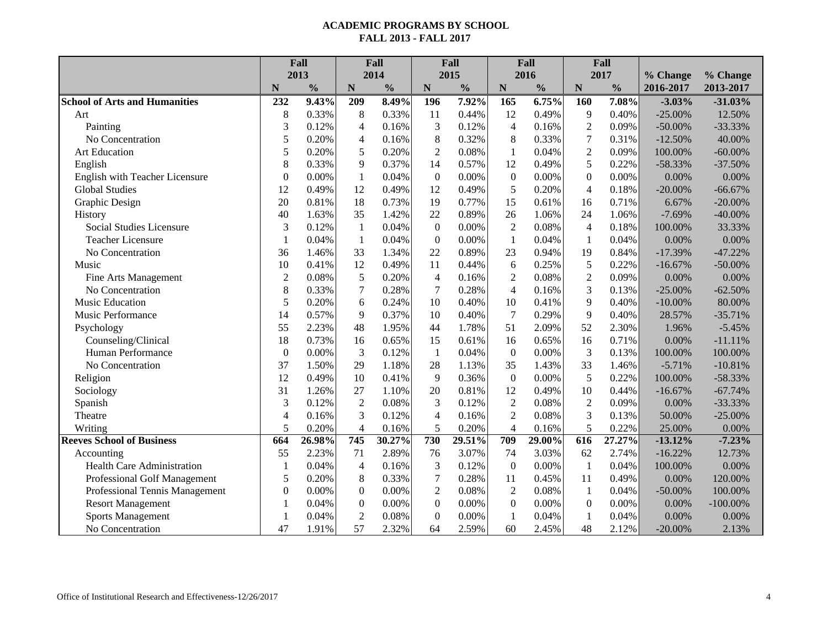|                                      | Fall             |               |                  | Fall          |                  | Fall          |                  | Fall          | Fall                     |               |            |             |
|--------------------------------------|------------------|---------------|------------------|---------------|------------------|---------------|------------------|---------------|--------------------------|---------------|------------|-------------|
|                                      |                  | 2013          |                  | 2014          |                  | 2015          |                  | 2016          |                          | 2017          | % Change   | % Change    |
|                                      | N                | $\frac{0}{0}$ | $\mathbf N$      | $\frac{0}{0}$ | $\mathbf N$      | $\frac{0}{0}$ | N                | $\frac{0}{0}$ | $\mathbf N$              | $\frac{0}{0}$ | 2016-2017  | 2013-2017   |
| <b>School of Arts and Humanities</b> | 232              | 9.43%         | 209              | 8.49%         | 196              | 7.92%         | 165              | 6.75%         | 160                      | 7.08%         | $-3.03%$   | $-31.03%$   |
| Art                                  | 8                | 0.33%         | 8                | 0.33%         | 11               | 0.44%         | 12               | 0.49%         | 9                        | 0.40%         | $-25.00%$  | 12.50%      |
| Painting                             | 3                | 0.12%         | $\overline{4}$   | 0.16%         | 3                | 0.12%         | $\overline{4}$   | 0.16%         | $\overline{2}$           | 0.09%         | $-50.00\%$ | $-33.33%$   |
| No Concentration                     | 5                | 0.20%         | $\overline{4}$   | 0.16%         | 8                | 0.32%         | 8                | 0.33%         | $\boldsymbol{7}$         | 0.31%         | $-12.50%$  | 40.00%      |
| Art Education                        | 5                | 0.20%         | 5                | 0.20%         | $\overline{2}$   | 0.08%         | $\mathbf{1}$     | 0.04%         | $\overline{2}$           | 0.09%         | 100.00%    | $-60.00\%$  |
| English                              | 8                | 0.33%         | 9                | 0.37%         | 14               | 0.57%         | 12               | 0.49%         | 5                        | 0.22%         | $-58.33%$  | $-37.50%$   |
| English with Teacher Licensure       | $\boldsymbol{0}$ | 0.00%         | $\mathbf{1}$     | 0.04%         | $\boldsymbol{0}$ | $0.00\%$      | $\boldsymbol{0}$ | 0.00%         | $\boldsymbol{0}$         | 0.00%         | 0.00%      | 0.00%       |
| <b>Global Studies</b>                | 12               | 0.49%         | 12               | 0.49%         | 12               | 0.49%         | 5                | 0.20%         | $\overline{\mathcal{L}}$ | 0.18%         | $-20.00%$  | $-66.67%$   |
| Graphic Design                       | 20               | 0.81%         | 18               | 0.73%         | 19               | 0.77%         | 15               | 0.61%         | 16                       | 0.71%         | 6.67%      | $-20.00\%$  |
| History                              | 40               | 1.63%         | 35               | 1.42%         | 22               | 0.89%         | 26               | 1.06%         | 24                       | 1.06%         | $-7.69%$   | $-40.00\%$  |
| Social Studies Licensure             | 3                | 0.12%         | $\mathbf{1}$     | 0.04%         | $\boldsymbol{0}$ | 0.00%         | $\overline{2}$   | 0.08%         | $\overline{4}$           | 0.18%         | 100.00%    | 33.33%      |
| <b>Teacher Licensure</b>             | $\mathbf{1}$     | 0.04%         | $\mathbf{1}$     | 0.04%         | $\boldsymbol{0}$ | 0.00%         | $\mathbf{1}$     | 0.04%         | $\mathbf{1}$             | 0.04%         | 0.00%      | 0.00%       |
| No Concentration                     | 36               | 1.46%         | 33               | 1.34%         | 22               | 0.89%         | 23               | 0.94%         | 19                       | 0.84%         | $-17.39%$  | $-47.22%$   |
| Music                                | 10               | 0.41%         | 12               | 0.49%         | 11               | 0.44%         | 6                | 0.25%         | 5                        | 0.22%         | $-16.67%$  | $-50.00\%$  |
| Fine Arts Management                 | $\overline{2}$   | 0.08%         | 5                | 0.20%         | $\overline{4}$   | 0.16%         | $\overline{2}$   | 0.08%         | $\overline{c}$           | 0.09%         | 0.00%      | 0.00%       |
| No Concentration                     | 8                | 0.33%         | $\overline{7}$   | 0.28%         | $\overline{7}$   | 0.28%         | $\overline{4}$   | 0.16%         | 3                        | 0.13%         | $-25.00%$  | $-62.50%$   |
| <b>Music Education</b>               | 5                | 0.20%         | 6                | 0.24%         | 10               | 0.40%         | 10               | 0.41%         | 9                        | 0.40%         | $-10.00\%$ | 80.00%      |
| Music Performance                    | 14               | 0.57%         | 9                | 0.37%         | 10               | 0.40%         | $\overline{7}$   | 0.29%         | 9                        | 0.40%         | 28.57%     | $-35.71%$   |
| Psychology                           | 55               | 2.23%         | 48               | 1.95%         | 44               | 1.78%         | 51               | 2.09%         | 52                       | 2.30%         | 1.96%      | $-5.45%$    |
| Counseling/Clinical                  | 18               | 0.73%         | 16               | 0.65%         | 15               | 0.61%         | 16               | 0.65%         | 16                       | 0.71%         | 0.00%      | $-11.11%$   |
| Human Performance                    | $\boldsymbol{0}$ | 0.00%         | $\mathfrak{Z}$   | 0.12%         | $\mathbf{1}$     | 0.04%         | $\boldsymbol{0}$ | 0.00%         | 3                        | 0.13%         | 100.00%    | 100.00%     |
| No Concentration                     | 37               | 1.50%         | 29               | 1.18%         | 28               | 1.13%         | 35               | 1.43%         | 33                       | 1.46%         | $-5.71%$   | $-10.81%$   |
| Religion                             | 12               | 0.49%         | 10               | 0.41%         | 9                | 0.36%         | $\boldsymbol{0}$ | 0.00%         | 5                        | 0.22%         | 100.00%    | $-58.33%$   |
| Sociology                            | 31               | 1.26%         | 27               | 1.10%         | 20               | 0.81%         | 12               | 0.49%         | 10                       | 0.44%         | $-16.67%$  | $-67.74%$   |
| Spanish                              | 3                | 0.12%         | $\overline{2}$   | 0.08%         | 3                | 0.12%         | $\overline{2}$   | 0.08%         | $\overline{2}$           | 0.09%         | 0.00%      | $-33.33%$   |
| Theatre                              | $\overline{4}$   | 0.16%         | 3                | 0.12%         | $\overline{4}$   | 0.16%         | $\overline{2}$   | 0.08%         | 3                        | 0.13%         | 50.00%     | $-25.00%$   |
| Writing                              | 5                | 0.20%         | $\overline{4}$   | 0.16%         | 5                | 0.20%         | $\overline{4}$   | 0.16%         | 5                        | 0.22%         | 25.00%     | 0.00%       |
| <b>Reeves School of Business</b>     | 664              | 26.98%        | 745              | 30.27%        | 730              | 29.51%        | 709              | 29.00%        | 616                      | 27.27%        | $-13.12%$  | $-7.23%$    |
| Accounting                           | 55               | 2.23%         | 71               | 2.89%         | 76               | 3.07%         | 74               | 3.03%         | 62                       | 2.74%         | $-16.22%$  | 12.73%      |
| <b>Health Care Administration</b>    | $\mathbf{1}$     | 0.04%         | $\overline{4}$   | 0.16%         | $\mathfrak{Z}$   | 0.12%         | $\overline{0}$   | 0.00%         | $\mathbf{1}$             | 0.04%         | 100.00%    | 0.00%       |
| Professional Golf Management         | 5                | 0.20%         | 8                | 0.33%         | $\tau$           | 0.28%         | 11               | 0.45%         | 11                       | 0.49%         | 0.00%      | 120.00%     |
| Professional Tennis Management       | $\boldsymbol{0}$ | 0.00%         | $\boldsymbol{0}$ | 0.00%         | $\overline{2}$   | 0.08%         | $\overline{2}$   | 0.08%         | $\mathbf{1}$             | 0.04%         | $-50.00\%$ | 100.00%     |
| <b>Resort Management</b>             | $\mathbf{1}$     | 0.04%         | $\boldsymbol{0}$ | 0.00%         | $\boldsymbol{0}$ | 0.00%         | $\boldsymbol{0}$ | 0.00%         | $\boldsymbol{0}$         | 0.00%         | 0.00%      | $-100.00\%$ |
| <b>Sports Management</b>             | $\mathbf{1}$     | 0.04%         | $\overline{2}$   | 0.08%         | $\boldsymbol{0}$ | 0.00%         | $\mathbf{1}$     | 0.04%         | 1                        | 0.04%         | 0.00%      | 0.00%       |
| No Concentration                     | 47               | 1.91%         | 57               | 2.32%         | 64               | 2.59%         | 60               | 2.45%         | 48                       | 2.12%         | $-20.00%$  | 2.13%       |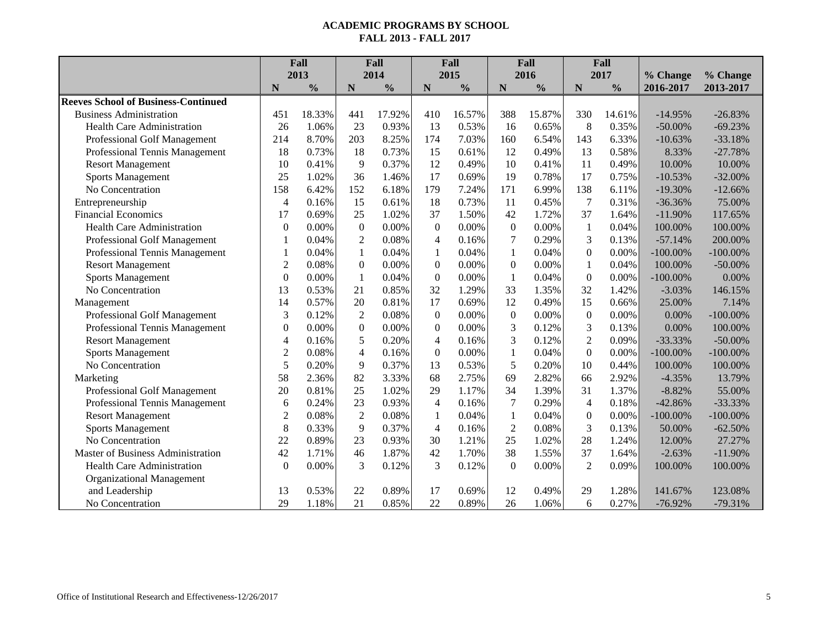|                                            | Fall           |               |                  | Fall          |                  | Fall          |                  | Fall          | Fall             |               |             |             |
|--------------------------------------------|----------------|---------------|------------------|---------------|------------------|---------------|------------------|---------------|------------------|---------------|-------------|-------------|
|                                            |                | 2013          |                  | 2014          |                  | 2015          |                  | 2016          |                  | 2017          | % Change    | % Change    |
|                                            | N              | $\frac{0}{0}$ | N                | $\frac{6}{6}$ | N                | $\frac{0}{0}$ | N                | $\frac{0}{0}$ | $\mathbf N$      | $\frac{0}{0}$ | 2016-2017   | 2013-2017   |
| <b>Reeves School of Business-Continued</b> |                |               |                  |               |                  |               |                  |               |                  |               |             |             |
| <b>Business Administration</b>             | 451            | 18.33%        | 441              | 17.92%        | 410              | 16.57%        | 388              | 15.87%        | 330              | 14.61%        | $-14.95%$   | $-26.83%$   |
| <b>Health Care Administration</b>          | 26             | 1.06%         | 23               | 0.93%         | 13               | 0.53%         | 16               | 0.65%         | 8                | 0.35%         | $-50.00\%$  | $-69.23%$   |
| Professional Golf Management               | 214            | 8.70%         | 203              | 8.25%         | 174              | 7.03%         | 160              | 6.54%         | 143              | 6.33%         | $-10.63%$   | $-33.18%$   |
| Professional Tennis Management             | 18             | 0.73%         | 18               | 0.73%         | 15               | 0.61%         | 12               | 0.49%         | 13               | 0.58%         | 8.33%       | $-27.78%$   |
| <b>Resort Management</b>                   | 10             | 0.41%         | 9                | 0.37%         | 12               | 0.49%         | 10               | 0.41%         | 11               | 0.49%         | 10.00%      | 10.00%      |
| <b>Sports Management</b>                   | 25             | 1.02%         | 36               | 1.46%         | 17               | 0.69%         | 19               | 0.78%         | 17               | 0.75%         | $-10.53%$   | $-32.00%$   |
| No Concentration                           | 158            | 6.42%         | 152              | 6.18%         | 179              | 7.24%         | 171              | 6.99%         | 138              | 6.11%         | $-19.30%$   | $-12.66%$   |
| Entrepreneurship                           | $\overline{4}$ | 0.16%         | 15               | 0.61%         | 18               | 0.73%         | 11               | 0.45%         | 7                | 0.31%         | $-36.36%$   | 75.00%      |
| <b>Financial Economics</b>                 | 17             | 0.69%         | 25               | 1.02%         | 37               | 1.50%         | 42               | 1.72%         | 37               | 1.64%         | $-11.90%$   | 117.65%     |
| <b>Health Care Administration</b>          | $\overline{0}$ | 0.00%         | $\boldsymbol{0}$ | 0.00%         | $\boldsymbol{0}$ | 0.00%         | $\mathbf{0}$     | 0.00%         | $\mathbf{1}$     | 0.04%         | 100.00%     | 100.00%     |
| Professional Golf Management               | 1              | 0.04%         | $\overline{2}$   | 0.08%         | $\overline{4}$   | 0.16%         | 7                | 0.29%         | 3                | 0.13%         | $-57.14%$   | 200.00%     |
| Professional Tennis Management             | 1              | 0.04%         | $\mathbf{1}$     | 0.04%         | 1                | 0.04%         | 1                | 0.04%         | $\boldsymbol{0}$ | 0.00%         | $-100.00\%$ | $-100.00\%$ |
| <b>Resort Management</b>                   | $\overline{2}$ | 0.08%         | $\boldsymbol{0}$ | 0.00%         | $\boldsymbol{0}$ | 0.00%         | $\boldsymbol{0}$ | 0.00%         | 1                | 0.04%         | 100.00%     | $-50.00\%$  |
| <b>Sports Management</b>                   | $\overline{0}$ | 0.00%         | $\mathbf{1}$     | 0.04%         | $\boldsymbol{0}$ | 0.00%         | 1                | 0.04%         | $\mathbf{0}$     | 0.00%         | $-100.00\%$ | 0.00%       |
| No Concentration                           | 13             | 0.53%         | 21               | 0.85%         | 32               | 1.29%         | 33               | 1.35%         | 32               | 1.42%         | $-3.03%$    | 146.15%     |
| Management                                 | 14             | 0.57%         | 20               | 0.81%         | 17               | 0.69%         | 12               | 0.49%         | 15               | 0.66%         | 25.00%      | 7.14%       |
| Professional Golf Management               | 3              | 0.12%         | $\overline{2}$   | 0.08%         | $\boldsymbol{0}$ | 0.00%         | $\boldsymbol{0}$ | 0.00%         | $\boldsymbol{0}$ | 0.00%         | 0.00%       | $-100.00\%$ |
| Professional Tennis Management             | $\overline{0}$ | 0.00%         | $\theta$         | 0.00%         | $\mathbf{0}$     | 0.00%         | 3                | 0.12%         | 3                | 0.13%         | 0.00%       | 100.00%     |
| <b>Resort Management</b>                   | $\overline{4}$ | 0.16%         | 5                | 0.20%         | $\overline{4}$   | 0.16%         | 3                | 0.12%         | $\overline{2}$   | 0.09%         | $-33.33%$   | $-50.00\%$  |
| <b>Sports Management</b>                   | $\overline{c}$ | 0.08%         | $\overline{4}$   | 0.16%         | $\boldsymbol{0}$ | 0.00%         | 1                | 0.04%         | $\boldsymbol{0}$ | 0.00%         | $-100.00\%$ | $-100.00\%$ |
| No Concentration                           | 5              | 0.20%         | 9                | 0.37%         | 13               | 0.53%         | 5                | 0.20%         | 10               | 0.44%         | 100.00%     | 100.00%     |
| Marketing                                  | 58             | 2.36%         | 82               | 3.33%         | 68               | 2.75%         | 69               | 2.82%         | 66               | 2.92%         | $-4.35%$    | 13.79%      |
| Professional Golf Management               | 20             | 0.81%         | 25               | 1.02%         | 29               | 1.17%         | 34               | 1.39%         | 31               | 1.37%         | $-8.82%$    | 55.00%      |
| Professional Tennis Management             | 6              | 0.24%         | 23               | 0.93%         | $\overline{4}$   | 0.16%         | 7                | 0.29%         | $\overline{4}$   | 0.18%         | $-42.86%$   | $-33.33%$   |
| <b>Resort Management</b>                   | $\overline{2}$ | 0.08%         | $\overline{2}$   | 0.08%         | $\mathbf{1}$     | 0.04%         | 1                | 0.04%         | $\boldsymbol{0}$ | 0.00%         | $-100.00\%$ | $-100.00\%$ |
| <b>Sports Management</b>                   | 8              | 0.33%         | 9                | 0.37%         | $\overline{4}$   | 0.16%         | $\overline{2}$   | 0.08%         | 3                | 0.13%         | 50.00%      | $-62.50%$   |
| No Concentration                           | 22             | 0.89%         | 23               | 0.93%         | 30               | 1.21%         | 25               | 1.02%         | 28               | 1.24%         | 12.00%      | 27.27%      |
| Master of Business Administration          | 42             | 1.71%         | 46               | 1.87%         | 42               | 1.70%         | 38               | 1.55%         | 37               | 1.64%         | $-2.63%$    | $-11.90%$   |
| Health Care Administration                 | $\mathbf{0}$   | 0.00%         | 3                | 0.12%         | 3                | 0.12%         | $\boldsymbol{0}$ | 0.00%         | $\overline{2}$   | 0.09%         | 100.00%     | 100.00%     |
| <b>Organizational Management</b>           |                |               |                  |               |                  |               |                  |               |                  |               |             |             |
| and Leadership                             | 13             | 0.53%         | 22               | 0.89%         | 17               | 0.69%         | 12               | 0.49%         | 29               | 1.28%         | 141.67%     | 123.08%     |
| No Concentration                           | 29             | 1.18%         | 21               | 0.85%         | 22               | 0.89%         | 26               | 1.06%         | 6                | 0.27%         | $-76.92%$   | $-79.31%$   |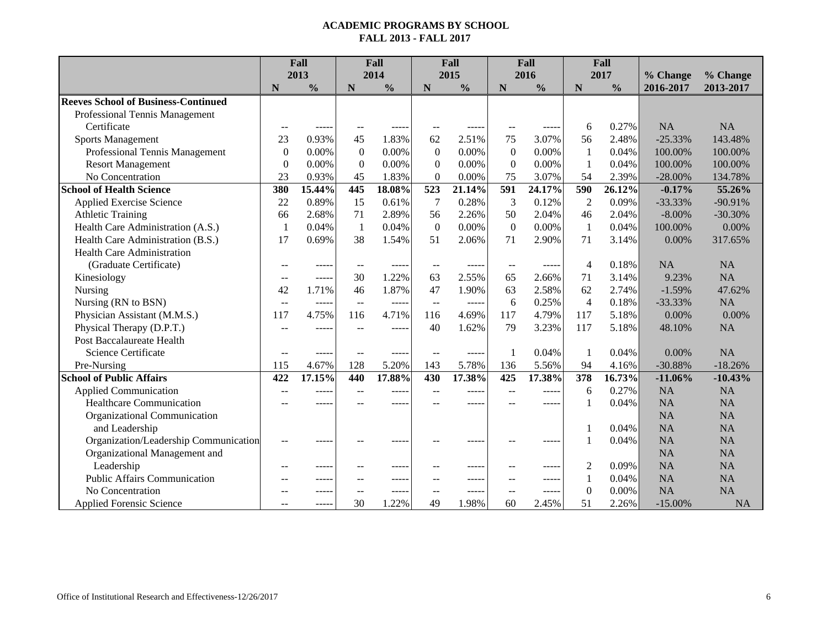|                                            | Fall             |               |                         | Fall          |                  | Fall          |                          | Fall          | Fall             |               |           |           |
|--------------------------------------------|------------------|---------------|-------------------------|---------------|------------------|---------------|--------------------------|---------------|------------------|---------------|-----------|-----------|
|                                            |                  | 2013          |                         | 2014          |                  | 2015          |                          | 2016          |                  | 2017          | % Change  | % Change  |
|                                            | N                | $\frac{0}{0}$ | N                       | $\frac{0}{0}$ | N                | $\frac{0}{0}$ | N                        | $\frac{0}{0}$ | N                | $\frac{0}{0}$ | 2016-2017 | 2013-2017 |
| <b>Reeves School of Business-Continued</b> |                  |               |                         |               |                  |               |                          |               |                  |               |           |           |
| Professional Tennis Management             |                  |               |                         |               |                  |               |                          |               |                  |               |           |           |
| Certificate                                |                  |               |                         |               |                  |               |                          | -----         | 6                | 0.27%         | <b>NA</b> | <b>NA</b> |
| <b>Sports Management</b>                   | 23               | 0.93%         | 45                      | 1.83%         | 62               | 2.51%         | 75                       | 3.07%         | 56               | 2.48%         | $-25.33%$ | 143.48%   |
| Professional Tennis Management             | $\boldsymbol{0}$ | 0.00%         | $\boldsymbol{0}$        | 0.00%         | $\mathbf{0}$     | 0.00%         | $\mathbf{0}$             | 0.00%         | $\mathbf{1}$     | 0.04%         | 100.00%   | 100.00%   |
| <b>Resort Management</b>                   | $\boldsymbol{0}$ | 0.00%         | $\boldsymbol{0}$        | 0.00%         | $\mathbf{0}$     | 0.00%         | $\overline{0}$           | 0.00%         | $\mathbf{1}$     | 0.04%         | 100.00%   | 100.00%   |
| No Concentration                           | 23               | 0.93%         | 45                      | 1.83%         | $\theta$         | 0.00%         | 75                       | 3.07%         | 54               | 2.39%         | $-28.00%$ | 134.78%   |
| <b>School of Health Science</b>            | 380              | 15.44%        | 445                     | 18.08%        | $\overline{523}$ | 21.14%        | $\overline{591}$         | 24.17%        | 590              | 26.12%        | $-0.17%$  | 55.26%    |
| <b>Applied Exercise Science</b>            | 22               | 0.89%         | 15                      | 0.61%         | 7                | 0.28%         | 3                        | 0.12%         | $\overline{2}$   | 0.09%         | $-33.33%$ | $-90.91%$ |
| <b>Athletic Training</b>                   | 66               | 2.68%         | 71                      | 2.89%         | 56               | 2.26%         | 50                       | 2.04%         | 46               | 2.04%         | $-8.00\%$ | $-30.30%$ |
| Health Care Administration (A.S.)          | $\mathbf{1}$     | 0.04%         | $\mathbf{1}$            | 0.04%         | $\theta$         | 0.00%         | $\mathbf{0}$             | 0.00%         | $\mathbf{1}$     | 0.04%         | 100.00%   | 0.00%     |
| Health Care Administration (B.S.)          | 17               | 0.69%         | 38                      | 1.54%         | 51               | 2.06%         | 71                       | 2.90%         | 71               | 3.14%         | 0.00%     | 317.65%   |
| <b>Health Care Administration</b>          |                  |               |                         |               |                  |               |                          |               |                  |               |           |           |
| (Graduate Certificate)                     | $-$              | -----         | $-$                     |               | $\sim$           | $---$         | $\overline{\phantom{m}}$ | -----         | $\overline{4}$   | 0.18%         | <b>NA</b> | <b>NA</b> |
| Kinesiology                                | --               | -----         | 30                      | 1.22%         | 63               | 2.55%         | 65                       | 2.66%         | 71               | 3.14%         | 9.23%     | <b>NA</b> |
| Nursing                                    | 42               | 1.71%         | 46                      | 1.87%         | 47               | 1.90%         | 63                       | 2.58%         | 62               | 2.74%         | $-1.59%$  | 47.62%    |
| Nursing (RN to BSN)                        | $-$              | $\frac{1}{2}$ | $\mathbb{L} \mathbb{L}$ | $- - - - -$   | $\overline{a}$   | -----         | 6                        | 0.25%         | $\overline{4}$   | 0.18%         | $-33.33%$ | <b>NA</b> |
| Physician Assistant (M.M.S.)               | 117              | 4.75%         | 116                     | 4.71%         | 116              | 4.69%         | 117                      | 4.79%         | 117              | 5.18%         | 0.00%     | 0.00%     |
| Physical Therapy (D.P.T.)                  | $-$              | -----         | $\sim$                  | -----         | 40               | 1.62%         | 79                       | 3.23%         | 117              | 5.18%         | 48.10%    | <b>NA</b> |
| Post Baccalaureate Health                  |                  |               |                         |               |                  |               |                          |               |                  |               |           |           |
| Science Certificate                        | $-$              | -----         | $-$                     | -----         | $\sim$           | $- - - -$     | $\mathbf{1}$             | 0.04%         | $\mathbf{1}$     | 0.04%         | 0.00%     | <b>NA</b> |
| Pre-Nursing                                | 115              | 4.67%         | 128                     | 5.20%         | 143              | 5.78%         | 136                      | 5.56%         | 94               | 4.16%         | $-30.88%$ | $-18.26%$ |
| <b>School of Public Affairs</b>            | 422              | 17.15%        | 440                     | 17.88%        | $\overline{430}$ | 17.38%        | $\overline{425}$         | 17.38%        | $\overline{378}$ | 16.73%        | $-11.06%$ | $-10.43%$ |
| <b>Applied Communication</b>               | $\sim$           | -----         |                         | -----         |                  | -----         |                          | -----         | 6                | 0.27%         | <b>NA</b> | <b>NA</b> |
| <b>Healthcare Communication</b>            |                  |               |                         |               |                  | -----         |                          | -----         | $\overline{1}$   | 0.04%         | <b>NA</b> | <b>NA</b> |
| Organizational Communication               |                  |               |                         |               |                  |               |                          |               |                  |               | <b>NA</b> | NA        |
| and Leadership                             |                  |               |                         |               |                  |               |                          |               |                  | 0.04%         | <b>NA</b> | <b>NA</b> |
| Organization/Leadership Communication      | $-$              |               |                         |               |                  | ----          |                          | -----         |                  | 0.04%         | <b>NA</b> | <b>NA</b> |
| Organizational Management and              |                  |               |                         |               |                  |               |                          |               |                  |               | <b>NA</b> | <b>NA</b> |
| Leadership                                 | $-$              | -----         |                         | ----          |                  | -----         |                          | -----         | 2                | 0.09%         | <b>NA</b> | <b>NA</b> |
| <b>Public Affairs Communication</b>        | --               | -----         | $-$                     | -----         | $-$              | $---$         | $\sim$                   | -----         | $\mathbf{1}$     | 0.04%         | <b>NA</b> | <b>NA</b> |
| No Concentration                           |                  | -----         | $\sim$                  | -----         | $\overline{a}$   | $---$         | $-$                      | -----         | $\theta$         | 0.00%         | <b>NA</b> | <b>NA</b> |
| <b>Applied Forensic Science</b>            |                  | -----         | 30                      | 1.22%         | 49               | 1.98%         | 60                       | 2.45%         | 51               | 2.26%         | $-15.00%$ | NA        |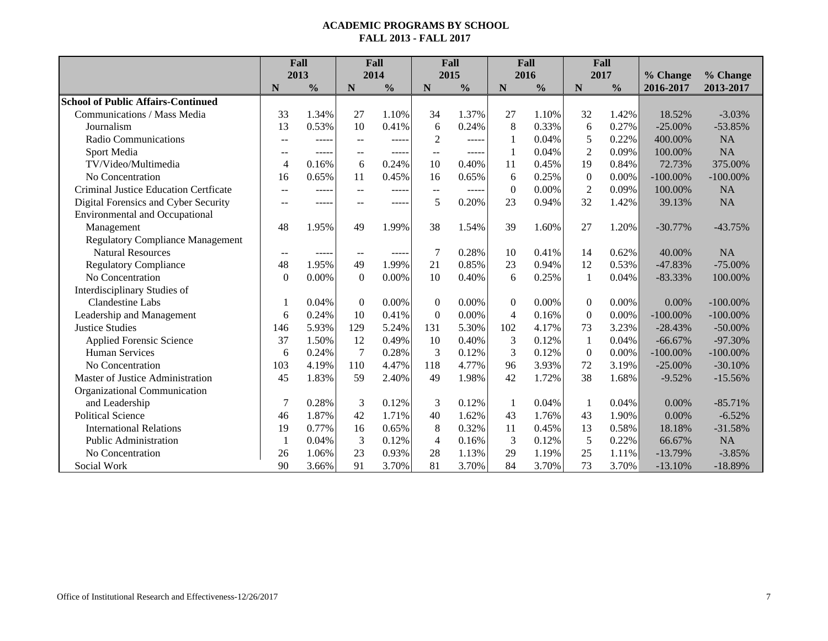|                                           | Fall                     |               | Fall             |               | Fall           |               | Fall             |               | Fall         |               |             |             |
|-------------------------------------------|--------------------------|---------------|------------------|---------------|----------------|---------------|------------------|---------------|--------------|---------------|-------------|-------------|
|                                           |                          | 2013          |                  | 2014          |                | 2015          |                  | 2016          |              | 2017          | % Change    | % Change    |
|                                           | N                        | $\frac{0}{0}$ | $\mathbf N$      | $\frac{0}{0}$ | N              | $\frac{0}{0}$ | N                | $\frac{0}{0}$ | $\mathbf N$  | $\frac{0}{0}$ | 2016-2017   | 2013-2017   |
| <b>School of Public Affairs-Continued</b> |                          |               |                  |               |                |               |                  |               |              |               |             |             |
| Communications / Mass Media               | 33                       | 1.34%         | 27               | 1.10%         | 34             | 1.37%         | 27               | 1.10%         | 32           | 1.42%         | 18.52%      | $-3.03%$    |
| Journalism                                | 13                       | 0.53%         | 10               | 0.41%         | 6              | 0.24%         | 8                | 0.33%         | 6            | 0.27%         | $-25.00\%$  | $-53.85%$   |
| <b>Radio Communications</b>               | $\sim$ $\sim$            | -----         | $\overline{a}$   | $- - - - -$   | $\overline{2}$ | $- - - - -$   | 1                | 0.04%         | 5            | 0.22%         | 400.00%     | <b>NA</b>   |
| Sport Media                               | $\sim$ $\sim$            | -----         | $-$              | -----         | $-$            | $\frac{1}{2}$ | 1                | 0.04%         | $\mathbf{2}$ | 0.09%         | 100.00%     | <b>NA</b>   |
| TV/Video/Multimedia                       | $\overline{\mathcal{L}}$ | 0.16%         | 6                | 0.24%         | 10             | 0.40%         | 11               | 0.45%         | 19           | 0.84%         | 72.73%      | 375.00%     |
| No Concentration                          | 16                       | 0.65%         | 11               | 0.45%         | 16             | 0.65%         | 6                | 0.25%         | $\mathbf{0}$ | 0.00%         | $-100.00\%$ | $-100.00\%$ |
| Criminal Justice Education Certficate     | $\sim$ $\sim$            | -----         | $-$              | -----         | --             | $- - - - -$   | $\boldsymbol{0}$ | 0.00%         | $\sqrt{2}$   | 0.09%         | 100.00%     | <b>NA</b>   |
| Digital Forensics and Cyber Security      | $\overline{a}$           | -----         | --               | -----         | 5              | 0.20%         | 23               | 0.94%         | 32           | 1.42%         | 39.13%      | <b>NA</b>   |
| <b>Environmental and Occupational</b>     |                          |               |                  |               |                |               |                  |               |              |               |             |             |
| Management                                | 48                       | 1.95%         | 49               | 1.99%         | 38             | 1.54%         | 39               | 1.60%         | 27           | 1.20%         | $-30.77%$   | $-43.75%$   |
| <b>Regulatory Compliance Management</b>   |                          |               |                  |               |                |               |                  |               |              |               |             |             |
| <b>Natural Resources</b>                  | $\sim$                   | $- - - - -$   | $\sim$           | $\frac{1}{2}$ | 7              | 0.28%         | 10               | 0.41%         | 14           | 0.62%         | 40.00%      | NA          |
| <b>Regulatory Compliance</b>              | 48                       | 1.95%         | 49               | 1.99%         | 21             | 0.85%         | 23               | 0.94%         | 12           | 0.53%         | $-47.83%$   | $-75.00\%$  |
| No Concentration                          | $\overline{0}$           | 0.00%         | $\boldsymbol{0}$ | 0.00%         | 10             | 0.40%         | 6                | 0.25%         | 1            | 0.04%         | $-83.33%$   | 100.00%     |
| Interdisciplinary Studies of              |                          |               |                  |               |                |               |                  |               |              |               |             |             |
| <b>Clandestine Labs</b>                   |                          | 0.04%         | $\mathbf{0}$     | 0.00%         | $\mathbf{0}$   | 0.00%         | $\theta$         | 0.00%         | $\Omega$     | 0.00%         | 0.00%       | $-100.00\%$ |
| Leadership and Management                 | 6                        | 0.24%         | 10               | 0.41%         | $\theta$       | 0.00%         | $\overline{4}$   | 0.16%         | $\Omega$     | 0.00%         | $-100.00\%$ | $-100.00\%$ |
| <b>Justice Studies</b>                    | 146                      | 5.93%         | 129              | 5.24%         | 131            | 5.30%         | 102              | 4.17%         | 73           | 3.23%         | $-28.43%$   | $-50.00\%$  |
| <b>Applied Forensic Science</b>           | 37                       | 1.50%         | 12               | 0.49%         | 10             | 0.40%         | 3                | 0.12%         | 1            | 0.04%         | $-66.67%$   | $-97.30%$   |
| <b>Human Services</b>                     | 6                        | 0.24%         | $\overline{7}$   | 0.28%         | 3              | 0.12%         | 3                | 0.12%         | $\mathbf{0}$ | 0.00%         | $-100.00\%$ | $-100.00\%$ |
| No Concentration                          | 103                      | 4.19%         | 110              | 4.47%         | 118            | 4.77%         | 96               | 3.93%         | 72           | 3.19%         | $-25.00\%$  | $-30.10%$   |
| Master of Justice Administration          | 45                       | 1.83%         | 59               | 2.40%         | 49             | 1.98%         | 42               | 1.72%         | 38           | 1.68%         | $-9.52%$    | $-15.56%$   |
| Organizational Communication              |                          |               |                  |               |                |               |                  |               |              |               |             |             |
| and Leadership                            | 7                        | 0.28%         | 3                | 0.12%         | 3              | 0.12%         | 1                | 0.04%         | $\mathbf{1}$ | 0.04%         | 0.00%       | $-85.71%$   |
| <b>Political Science</b>                  | 46                       | 1.87%         | 42               | 1.71%         | 40             | 1.62%         | 43               | 1.76%         | 43           | 1.90%         | 0.00%       | $-6.52%$    |
| <b>International Relations</b>            | 19                       | 0.77%         | 16               | 0.65%         | 8              | 0.32%         | 11               | 0.45%         | 13           | 0.58%         | 18.18%      | $-31.58%$   |
| <b>Public Administration</b>              | -1                       | 0.04%         | 3                | 0.12%         | $\overline{4}$ | 0.16%         | 3                | 0.12%         | 5            | 0.22%         | 66.67%      | <b>NA</b>   |
| No Concentration                          | 26                       | 1.06%         | 23               | 0.93%         | 28             | 1.13%         | 29               | 1.19%         | 25           | 1.11%         | $-13.79%$   | $-3.85%$    |
| Social Work                               | 90                       | 3.66%         | 91               | 3.70%         | 81             | 3.70%         | 84               | 3.70%         | 73           | 3.70%         | $-13.10%$   | $-18.89%$   |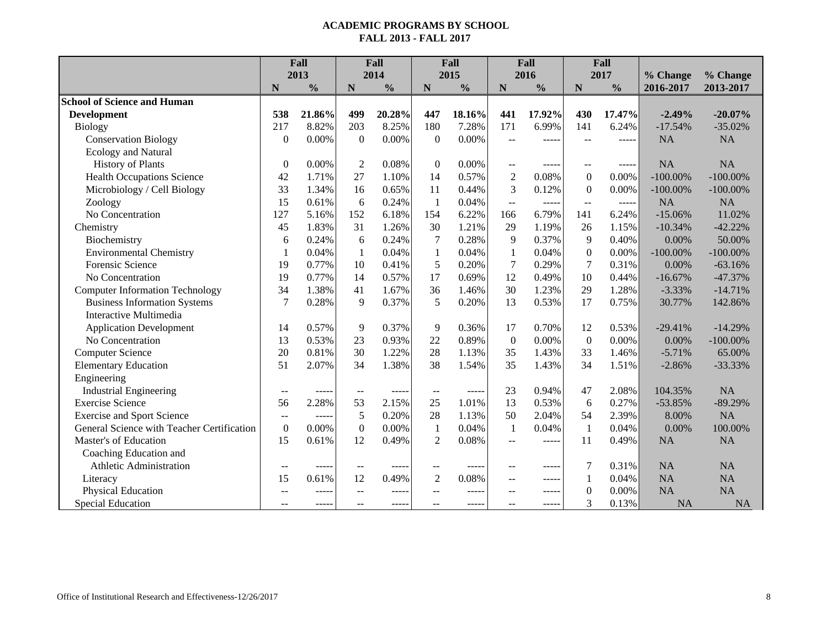|                                            | Fall             |               |                  | Fall          |                          | Fall          |                         | Fall          | Fall             |               |             |             |
|--------------------------------------------|------------------|---------------|------------------|---------------|--------------------------|---------------|-------------------------|---------------|------------------|---------------|-------------|-------------|
|                                            |                  | 2013          |                  | 2014          |                          | 2015          |                         | 2016          |                  | 2017          | % Change    | % Change    |
|                                            | N                | $\frac{0}{0}$ | $\mathbf N$      | $\frac{0}{0}$ | $\mathbf N$              | $\frac{0}{0}$ | $\mathbf N$             | $\frac{0}{0}$ | $\mathbf N$      | $\frac{0}{0}$ | 2016-2017   | 2013-2017   |
| <b>School of Science and Human</b>         |                  |               |                  |               |                          |               |                         |               |                  |               |             |             |
| <b>Development</b>                         | 538              | 21.86%        | 499              | 20.28%        | 447                      | 18.16%        | 441                     | 17.92%        | 430              | 17.47%        | $-2.49%$    | $-20.07%$   |
| <b>Biology</b>                             | 217              | 8.82%         | 203              | 8.25%         | 180                      | 7.28%         | 171                     | 6.99%         | 141              | 6.24%         | $-17.54%$   | $-35.02%$   |
| <b>Conservation Biology</b>                | $\boldsymbol{0}$ | 0.00%         | $\boldsymbol{0}$ | 0.00%         | $\overline{0}$           | $0.00\%$      | $\overline{a}$          | -----         | $-$              | -----         | <b>NA</b>   | <b>NA</b>   |
| Ecology and Natural                        |                  |               |                  |               |                          |               |                         |               |                  |               |             |             |
| <b>History of Plants</b>                   | $\boldsymbol{0}$ | 0.00%         | $\overline{2}$   | 0.08%         | $\boldsymbol{0}$         | $0.00\%$      | $\qquad \qquad -$       |               |                  | -----         | <b>NA</b>   | NA          |
| <b>Health Occupations Science</b>          | 42               | 1.71%         | 27               | 1.10%         | 14                       | 0.57%         | $\overline{2}$          | 0.08%         | $\boldsymbol{0}$ | $0.00\%$      | $-100.00\%$ | $-100.00\%$ |
| Microbiology / Cell Biology                | 33               | 1.34%         | 16               | 0.65%         | 11                       | 0.44%         | 3                       | 0.12%         | $\boldsymbol{0}$ | 0.00%         | $-100.00\%$ | $-100.00\%$ |
| Zoology                                    | 15               | 0.61%         | 6                | 0.24%         | $\mathbf{1}$             | 0.04%         | $\mathbb{L} \mathbb{L}$ | -----         | $\overline{a}$   | -----         | <b>NA</b>   | <b>NA</b>   |
| No Concentration                           | 127              | 5.16%         | 152              | 6.18%         | 154                      | 6.22%         | 166                     | 6.79%         | 141              | 6.24%         | $-15.06%$   | 11.02%      |
| Chemistry                                  | 45               | 1.83%         | 31               | 1.26%         | 30                       | 1.21%         | 29                      | 1.19%         | 26               | 1.15%         | $-10.34%$   | $-42.22%$   |
| Biochemistry                               | 6                | 0.24%         | 6                | 0.24%         | $\overline{7}$           | 0.28%         | 9                       | 0.37%         | 9                | 0.40%         | 0.00%       | 50.00%      |
| <b>Environmental Chemistry</b>             | 1                | 0.04%         | $\mathbf{1}$     | 0.04%         | $\mathbf{1}$             | 0.04%         | $\mathbf{1}$            | 0.04%         | $\boldsymbol{0}$ | 0.00%         | $-100.00\%$ | $-100.00\%$ |
| <b>Forensic Science</b>                    | 19               | 0.77%         | 10               | 0.41%         | 5                        | 0.20%         | $\tau$                  | 0.29%         | 7                | 0.31%         | 0.00%       | $-63.16%$   |
| No Concentration                           | 19               | 0.77%         | 14               | 0.57%         | 17                       | 0.69%         | 12                      | 0.49%         | 10               | 0.44%         | $-16.67%$   | $-47.37%$   |
| <b>Computer Information Technology</b>     | 34               | 1.38%         | 41               | 1.67%         | 36                       | 1.46%         | 30                      | 1.23%         | 29               | 1.28%         | $-3.33%$    | $-14.71%$   |
| <b>Business Information Systems</b>        | $\overline{7}$   | 0.28%         | 9                | 0.37%         | 5                        | 0.20%         | 13                      | 0.53%         | 17               | 0.75%         | 30.77%      | 142.86%     |
| Interactive Multimedia                     |                  |               |                  |               |                          |               |                         |               |                  |               |             |             |
| <b>Application Development</b>             | 14               | 0.57%         | $\overline{9}$   | 0.37%         | 9                        | 0.36%         | 17                      | 0.70%         | 12               | 0.53%         | $-29.41%$   | $-14.29%$   |
| No Concentration                           | 13               | 0.53%         | 23               | 0.93%         | 22                       | 0.89%         | $\boldsymbol{0}$        | 0.00%         | $\boldsymbol{0}$ | 0.00%         | $0.00\%$    | $-100.00\%$ |
| <b>Computer Science</b>                    | 20               | 0.81%         | 30               | 1.22%         | 28                       | 1.13%         | 35                      | 1.43%         | 33               | 1.46%         | $-5.71%$    | 65.00%      |
| <b>Elementary Education</b>                | 51               | 2.07%         | 34               | 1.38%         | 38                       | 1.54%         | 35                      | 1.43%         | 34               | 1.51%         | $-2.86%$    | $-33.33%$   |
| Engineering                                |                  |               |                  |               |                          |               |                         |               |                  |               |             |             |
| <b>Industrial Engineering</b>              | --               | ----          | $-$              | -----         | $\overline{\phantom{a}}$ | $- - - - -$   | 23                      | 0.94%         | 47               | 2.08%         | 104.35%     | <b>NA</b>   |
| <b>Exercise Science</b>                    | 56               | 2.28%         | 53               | 2.15%         | 25                       | 1.01%         | 13                      | 0.53%         | 6                | 0.27%         | $-53.85%$   | $-89.29%$   |
| <b>Exercise and Sport Science</b>          | $-$              | $\cdots$      | 5                | 0.20%         | 28                       | 1.13%         | 50                      | 2.04%         | 54               | 2.39%         | 8.00%       | <b>NA</b>   |
| General Science with Teacher Certification | $\boldsymbol{0}$ | 0.00%         | $\boldsymbol{0}$ | 0.00%         | $\mathbf{1}$             | 0.04%         | $\mathbf{1}$            | 0.04%         | $\mathbf{1}$     | 0.04%         | 0.00%       | 100.00%     |
| Master's of Education                      | 15               | 0.61%         | 12               | 0.49%         | $\overline{2}$           | 0.08%         | $-$                     | -----         | 11               | 0.49%         | <b>NA</b>   | <b>NA</b>   |
| Coaching Education and                     |                  |               |                  |               |                          |               |                         |               |                  |               |             |             |
| Athletic Administration                    | $-$              | $\frac{1}{2}$ | $-$              | $- - - - -$   | --                       | $- - - - -$   | $-$                     | -----         | 7                | 0.31%         | <b>NA</b>   | <b>NA</b>   |
| Literacy                                   | 15               | 0.61%         | 12               | 0.49%         | $\overline{2}$           | 0.08%         | $\sim$                  | -----         | $\mathbf{1}$     | 0.04%         | <b>NA</b>   | <b>NA</b>   |
| Physical Education                         | --               | ----          | --               | $\cdots$      | --                       | -----         | --                      | -----         | $\mathbf{0}$     | $0.00\%$      | <b>NA</b>   | <b>NA</b>   |
| <b>Special Education</b>                   | $-$              | $---$         | $-$              | $- - - - -$   |                          | $- - - - -$   | $-$                     | -----         | 3                | 0.13%         | NA          | <b>NA</b>   |